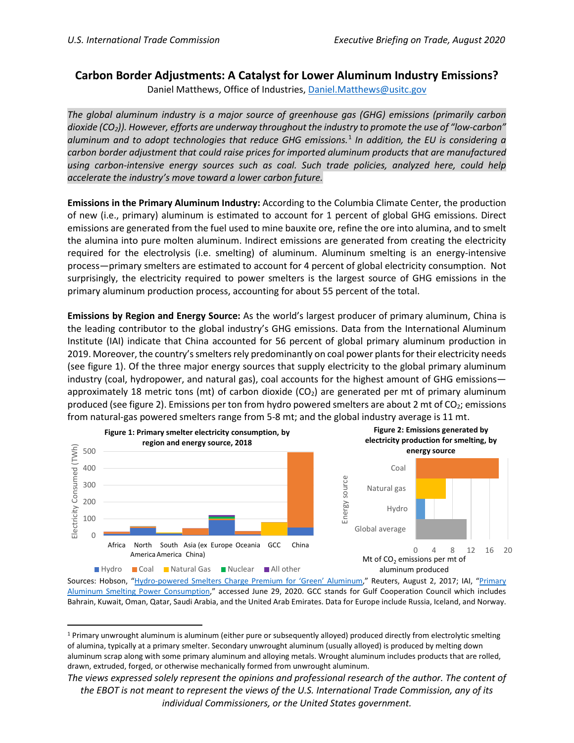## **Carbon Border Adjustments: A Catalyst for Lower Aluminum Industry Emissions?**

Daniel Matthews, Office of Industries, [Daniel.Matthews@usitc.gov](mailto:Daniel.Matthews@usitc.gov)

*The global aluminum industry is a major source of greenhouse gas (GHG) emissions (primarily carbon dioxide (CO2)). However, efforts are underway throughout the industry to promote the use of "low-carbon" aluminum and to adopt technologies that reduce GHG emissions.* [1](#page-0-0) *In addition, the EU is considering a carbon border adjustment that could raise prices for imported aluminum products that are manufactured using carbon-intensive energy sources such as coal. Such trade policies, analyzed here, could help accelerate the industry's move toward a lower carbon future.*

**Emissions in the Primary Aluminum Industry:** According to the Columbia Climate Center, the production of new (i.e., primary) aluminum is estimated to account for 1 percent of global GHG emissions. Direct emissions are generated from the fuel used to mine bauxite ore, refine the ore into alumina, and to smelt the alumina into pure molten aluminum. Indirect emissions are generated from creating the electricity required for the electrolysis (i.e. smelting) of aluminum. Aluminum smelting is an energy-intensive process—primary smelters are estimated to account for 4 percent of global electricity consumption. Not surprisingly, the electricity required to power smelters is the largest source of GHG emissions in the primary aluminum production process, accounting for about 55 percent of the total.

**Emissions by Region and Energy Source:** As the world's largest producer of primary aluminum, China is the leading contributor to the global industry's GHG emissions. Data from the [International Aluminum](http://www.world-aluminium.org/statistics/primary-aluminium-production/)  [Institute](http://www.world-aluminium.org/statistics/primary-aluminium-production/) (IAI) indicate that China accounted for 56 percent of global primary aluminum production in 2019. Moreover, the country's smelters rely predominantly on coal power plants for their electricity needs (see figure 1). Of the three major energy sources that supply electricity to the global primary aluminum industry (coal, hydropower, and natural gas), coal accounts for the highest amount of GHG emissions approximately 18 metric tons (mt) of carbon dioxide  $(CO<sub>2</sub>)$  are generated per mt of primary aluminum produced (see figure 2). Emissions per ton from hydro powered smelters are about 2 mt of  $CO<sub>2</sub>$ ; emissions from natural-gas powered smelters range from 5-8 mt; and the global industry average is 11 mt.



Sources: Hobson, ["Hydro-powered Smelters Charge Premium for 'Green' Aluminum,](https://www.reuters.com/article/us-aluminium-sales-environment/hydro-powered-smelters-charge-premium-prices-for-green-aluminum-idUSKBN1AI1CF)" Reuters, August 2, 2017; IAI, "Primary [Aluminum Smelting Power Consumption,](http://www.world-aluminium.org/statistics/primary-aluminium-smelting-power-consumption/)" accessed June 29, 2020. GCC stands for Gulf Cooperation Council which includes Bahrain, Kuwait, Oman, Qatar, Saudi Arabia, and the United Arab Emirates. Data for Europe include Russia, Iceland, and Norway.

<span id="page-0-0"></span><sup>1</sup> Primary unwrought aluminum is aluminum (either pure or subsequently alloyed) produced directly from electrolytic smelting of alumina, typically at a primary smelter. Secondary unwrought aluminum (usually alloyed) is produced by melting down aluminum scrap along with some primary aluminum and alloying metals. Wrought aluminum includes products that are rolled, drawn, extruded, forged, or otherwise mechanically formed from unwrought aluminum.

*The views expressed solely represent the opinions and professional research of the author. The content of the EBOT is not meant to represent the views of the U.S. International Trade Commission, any of its individual Commissioners, or the United States government.*